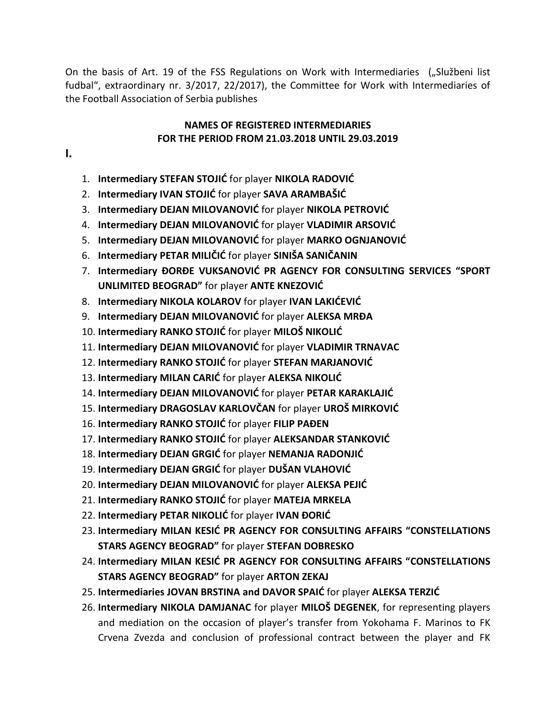On the basis of Art. 19 of the FSS Regulations on Work with Intermediaries ("Službeni list fudbal", extraordinary nr. 3/2017, 22/2017), the Committee for Work with Intermediaries of the Football Association of Serbia publishes

#### **NAMES OF REGISTERED INTERMEDIARIES FOR THE PERIOD FROM 21.03.2018 UNTIL 29.03.2019**

- **I.**
- 1. **Intermediary STEFAN STOJIĆ** for player **NIKOLA RADOVIĆ**
- 2. **Intermediary IVAN STOJIĆ** for player **SAVA ARAMBAŠIĆ**
- 3. **Intermediary DEJAN MILOVANOVIĆ** for player NIKOLA PETROVIĆ
- 4. **Intermediary DEJAN MILOVANOVIĆ** for player VLADIMIR ARSOVIĆ
- 5. **Intermediary DEJAN MILOVANOVIĆ** for player MARKO OGNJANOVIĆ
- 6. **Intermediary PETAR MILIČID** for player **SINIŠA SANIČANIN**
- 7. **Intermediary ĐORĐE VUKSANOVID PR AGENCY FOR CONSULTING SERVICES "SPORT UNLIMITED BEOGRAD"** for player **ANTE KNEZOVIĆ**
- 8. **Intermediary NIKOLA KOLAROV** for player **IVAN LAKIĆEVIĆ**
- 9. **Intermediary DEJAN MILOVANOVIĆ** for player **ALEKSA MRĐA**
- 10. **Intermediary RANKO STOJIĆ** for player MILOŠ NIKOLIĆ
- 11. **Intermediary DEJAN MILOVANOVIĆ** for player **VLADIMIR TRNAVAC**
- 12. **Intermediary RANKO STOJIĆ** for player **STEFAN MARJANOVIĆ**
- 13. **Intermediary MILAN CARIĆ** for player **ALEKSA NIKOLIĆ**
- 14. **Intermediary DEJAN MILOVANOVIĆ** for player **PETAR KARAKLAJIĆ**
- 15. **Intermediary DRAGOSLAV KARLOVČAN** for player UROŠ MIRKOVIĆ
- 16. **Intermediary RANKO STOJIĆ** for player FILIP PAĐEN
- 17. Intermediary RANKO STOJIĆ for player ALEKSANDAR STANKOVIĆ
- 18. **Intermediary DEJAN GRGIĆ** for player **NEMANJA RADONJIĆ**
- 19. **Intermediary DEJAN GRGIĆ** for player **DUŠAN VLAHOVIĆ**
- 20. **Intermediary DEJAN MILOVANOVIĆ** for player **ALEKSA PEJIĆ**
- 21. **Intermediary RANKO STOJID** for player **MATEJA MRKELA**
- 22. **Intermediary PETAR NIKOLIĆ** for player **IVAN ĐORIĆ**
- **23. Intermediary MILAN KESIĆ PR AGENCY FOR CONSULTING AFFAIRS "CONSTELLATIONS STARS AGENCY BEOGRAD"** for player **STEFAN DOBRESKO**
- **24. Intermediary MILAN KESIĆ PR AGENCY FOR CONSULTING AFFAIRS "CONSTELLATIONS STARS AGENCY BEOGRAD"** for player **ARTON ZEKAJ**
- 25. **Intermediaries JOVAN BRSTINA and DAVOR SPAIC** for player **ALEKSA TERZIC**
- 26. **Intermediary NIKOLA DAMJANAC** for player **MILOŠ DEGENEK**, for representing players and mediation on the occasion of player's transfer from Yokohama F. Marinos to FK Crvena Zvezda and conclusion of professional contract between the player and FK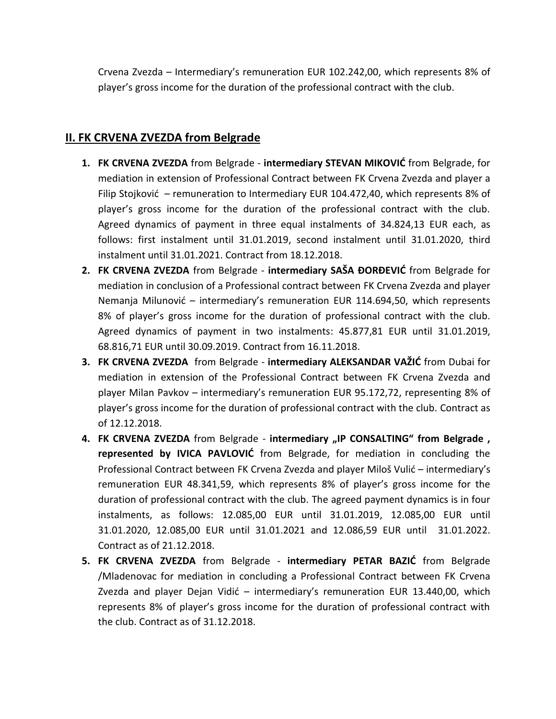Crvena Zvezda – Intermediary's remuneration EUR 102.242,00, which represents 8% of player's gross income for the duration of the professional contract with the club.

#### **II. FK CRVENA ZVEZDA from Belgrade**

- 1. FK CRVENA ZVEZDA from Belgrade intermediary STEVAN MIKOVIĆ from Belgrade, for mediation in extension of Professional Contract between FK Crvena Zvezda and player a Filip Stojković – remuneration to Intermediary EUR 104.472,40, which represents 8% of player's gross income for the duration of the professional contract with the club. Agreed dynamics of payment in three equal instalments of 34.824,13 EUR each, as follows: first instalment until 31.01.2019, second instalment until 31.01.2020, third instalment until 31.01.2021. Contract from 18.12.2018.
- **2. FK CRVENA ZVEZDA** from Belgrade **intermediary SAŠA ĐORĐEVIĆ** from Belgrade for mediation in conclusion of a Professional contract between FK Crvena Zvezda and player Nemanja Milunović – intermediary's remuneration EUR 114.694,50, which represents 8% of player's gross income for the duration of professional contract with the club. Agreed dynamics of payment in two instalments: 45.877,81 EUR until 31.01.2019, 68.816,71 EUR until 30.09.2019. Contract from 16.11.2018.
- **3. FK CRVENA ZVEZDA** from Belgrade intermediary ALEKSANDAR VAŽIĆ from Dubai for mediation in extension of the Professional Contract between FK Crvena Zvezda and player Milan Pavkov – intermediary's remuneration EUR 95.172,72, representing 8% of player's gross income for the duration of professional contract with the club. Contract as of 12.12.2018.
- **4. FK CRVENA ZVEZDA** from Belgrade **intermediary "IP CONSALTING" from Belgrade , represented by IVICA PAVLOVIC** from Belgrade, for mediation in concluding the Professional Contract between FK Crvena Zvezda and player Miloš Vulić - intermediary's remuneration EUR 48.341,59, which represents 8% of player's gross income for the duration of professional contract with the club. The agreed payment dynamics is in four instalments, as follows: 12.085,00 EUR until 31.01.2019, 12.085,00 EUR until 31.01.2020, 12.085,00 EUR until 31.01.2021 and 12.086,59 EUR until 31.01.2022. Contract as of 21.12.2018.
- **5. FK CRVENA ZVEZDA** from Belgrade intermediary PETAR BAZIĆ from Belgrade /Mladenovac for mediation in concluding a Professional Contract between FK Crvena Zvezda and player Dejan Vidić – intermediary's remuneration EUR 13.440,00, which represents 8% of player's gross income for the duration of professional contract with the club. Contract as of 31.12.2018.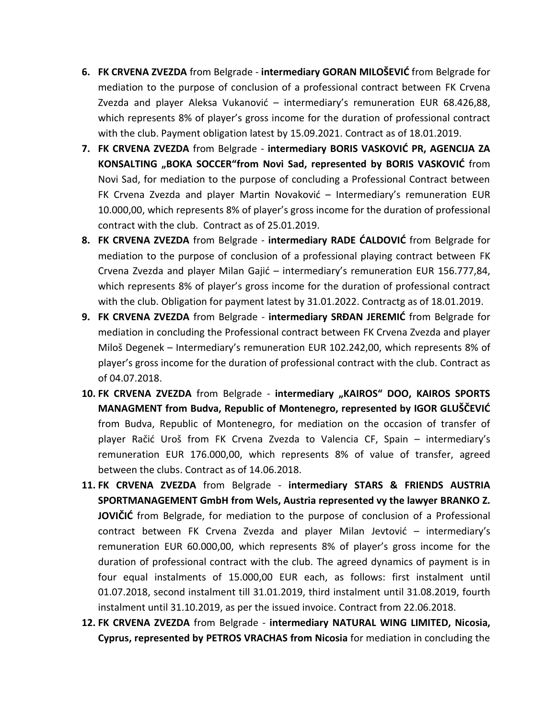- **6. FK CRVENA ZVEZDA** from Belgrade **intermediary GORAN MILOŠEVIĆ** from Belgrade for mediation to the purpose of conclusion of a professional contract between FK Crvena Zvezda and player Aleksa Vukanović – intermediary's remuneration EUR  $68.426,88$ , which represents 8% of player's gross income for the duration of professional contract with the club. Payment obligation latest by 15.09.2021. Contract as of 18.01.2019.
- **7. FK CRVENA ZVEZDA** from Belgrade intermediary BORIS VASKOVIĆ PR, AGENCIJA ZA **KONSALTING** "BOKA SOCCER"**from Novi Sad, represented by BORIS VASKOVIC** from Novi Sad, for mediation to the purpose of concluding a Professional Contract between FK Crvena Zvezda and player Martin Novaković - Intermediary's remuneration EUR 10.000,00, which represents 8% of player's gross income for the duration of professional contract with the club. Contract as of 25.01.2019.
- **8. FK CRVENA ZVEZDA** from Belgrade **intermediary RADE CALDOVIC** from Belgrade for mediation to the purpose of conclusion of a professional playing contract between FK Crvena Zvezda and player Milan Gajić - intermediary's remuneration EUR 156.777,84, which represents 8% of player's gross income for the duration of professional contract with the club. Obligation for payment latest by 31.01.2022. Contractg as of 18.01.2019.
- **9. FK CRVENA ZVEZDA** from Belgrade intermediary SRDAN JEREMIC from Belgrade for mediation in concluding the Professional contract between FK Crvena Zvezda and player Miloš Degenek – Intermediary's remuneration EUR 102.242,00, which represents 8% of player's gross income for the duration of professional contract with the club. Contract as of 04.07.2018.
- **10. FK CRVENA ZVEZDA** from Belgrade **intermediary "KAIROS" DOO, KAIROS SPORTS MANAGMENT from Budva, Republic of Montenegro, represented by IGOR GLUŠČEVIĆ** from Budva, Republic of Montenegro, for mediation on the occasion of transfer of player Račić Uroš from FK Crvena Zvezda to Valencia CF, Spain - intermediary's remuneration EUR 176.000,00, which represents 8% of value of transfer, agreed between the clubs. Contract as of 14.06.2018.
- **11. FK CRVENA ZVEZDA** from Belgrade **intermediary STARS & FRIENDS АUSTRIA SPORTMANAGEMENT GmbH from Wels, Austria represented vy the lawyer BRANKO Z. JOVIČIĆ** from Belgrade, for mediation to the purpose of conclusion of a Professional contract between FK Crvena Zvezda and player Milan Jevtović - intermediary's remuneration EUR 60.000,00, which represents 8% of player's gross income for the duration of professional contract with the club. The agreed dynamics of payment is in four equal instalments of 15.000,00 EUR each, as follows: first instalment until 01.07.2018, second instalment till 31.01.2019, third instalment until 31.08.2019, fourth instalment until 31.10.2019, as per the issued invoice. Contract from 22.06.2018.
- **12. FK CRVENA ZVEZDA** from Belgrade **intermediary NATURAL WING LIMITED, Nicosia, Cyprus, represented by PETROS VRACHAS from Nicosia** for mediation in concluding the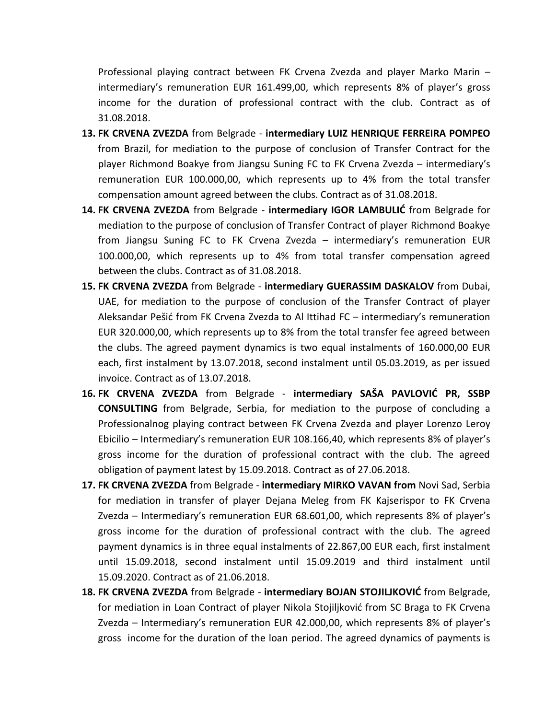Professional playing contract between FK Crvena Zvezda and player Marko Marin – intermediary's remuneration EUR 161.499,00, which represents 8% of player's gross income for the duration of professional contract with the club. Contract as of 31.08.2018.

- **13. FK CRVENA ZVEZDA** from Belgrade **intermediary LUIZ HENRIQUE FERREIRA POMPEO**  from Brazil, for mediation to the purpose of conclusion of Transfer Contract for the player Richmond Boakye from Jiangsu Suning FC to FK Crvena Zvezda – intermediary's remuneration EUR 100.000,00, which represents up to 4% from the total transfer compensation amount agreed between the clubs. Contract as of 31.08.2018.
- 14. FK CRVENA ZVEZDA from Belgrade intermediary IGOR LAMBULIC from Belgrade for mediation to the purpose of conclusion of Transfer Contract of player Richmond Boakye from Jiangsu Suning FC to FK Crvena Zvezda – intermediary's remuneration EUR 100.000,00, which represents up to 4% from total transfer compensation agreed between the clubs. Contract as of 31.08.2018.
- **15. FK CRVENA ZVEZDA** from Belgrade **intermediary GUERASSIM DASKALOV** from Dubai, UAE, for mediation to the purpose of conclusion of the Transfer Contract of player Aleksandar Pešić from FK Crvena Zvezda to Al Ittihad FC – intermediary's remuneration EUR 320.000,00, which represents up to 8% from the total transfer fee agreed between the clubs. The agreed payment dynamics is two equal instalments of 160.000,00 EUR each, first instalment by 13.07.2018, second instalment until 05.03.2019, as per issued invoice. Contract as of 13.07.2018.
- **16. FK CRVENA ZVEZDA** from Belgrade intermediary SAŠA PAVLOVIĆ PR, SSBP **CONSULTING** from Belgrade, Serbia, for mediation to the purpose of concluding a Professionalnog playing contract between FK Crvena Zvezda and player Lorenzo Leroy Ebicilio – Intermediary's remuneration EUR 108.166,40, which represents 8% of player's gross income for the duration of professional contract with the club. The agreed obligation of payment latest by 15.09.2018. Contract as of 27.06.2018.
- **17. FK CRVENA ZVEZDA** from Belgrade **intermediary MIRKO VAVAN from** Novi Sad, Serbia for mediation in transfer of player Dejana Meleg from FK Kajserispor to FK Crvena Zvezda – Intermediary's remuneration EUR 68.601,00, which represents 8% of player's gross income for the duration of professional contract with the club. The agreed payment dynamics is in three equal instalments of 22.867,00 EUR each, first instalment until 15.09.2018, second instalment until 15.09.2019 and third instalment until 15.09.2020. Contract as of 21.06.2018.
- 18. FK CRVENA ZVEZDA from Belgrade intermediary BOJAN STOJILJKOVIĆ from Belgrade, for mediation in Loan Contract of player Nikola Stojiljković from SC Braga to FK Crvena Zvezda – Intermediary's remuneration EUR 42.000,00, which represents 8% of player's gross income for the duration of the loan period. The agreed dynamics of payments is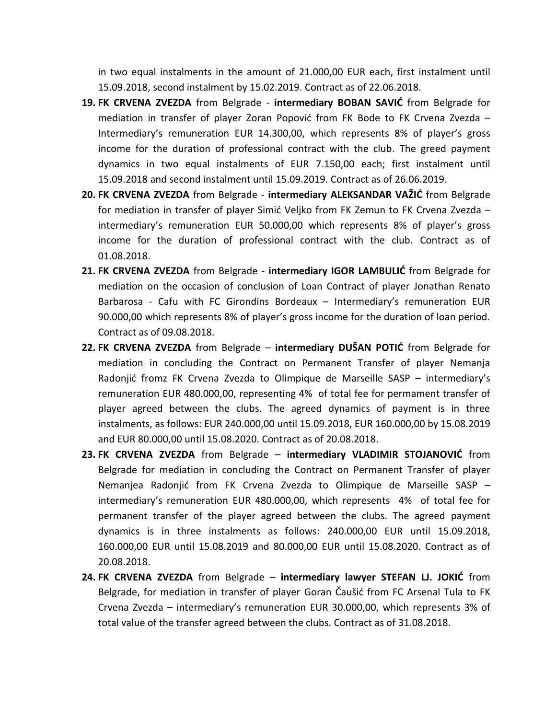in two equal instalments in the amount of 21.000,00 EUR each, first instalment until 15.09.2018, second instalment by 15.02.2019. Contract as of 22.06.2018.

- 19. FK CRVENA ZVEZDA from Belgrade intermediary BOBAN SAVIC from Belgrade for mediation in transfer of player Zoran Popović from FK Bode to FK Crvena Zvezda – Intermediary's remuneration EUR 14.300,00, which represents 8% of player's gross income for the duration of professional contract with the club. The greed payment dynamics in two equal instalments of EUR 7.150,00 each; first instalment until 15.09.2018 and second instalment until 15.09.2019. Contract as of 26.06.2019.
- **20. FK CRVENA ZVEZDA** from Belgrade intermediary ALEKSANDAR VAŽIĆ from Belgrade for mediation in transfer of player Simić Veljko from FK Zemun to FK Crvena Zvezda intermediary's remuneration EUR 50.000,00 which represents 8% of player's gross income for the duration of professional contract with the club. Contract as of 01.08.2018.
- 21. FK CRVENA ZVEZDA from Belgrade intermediary IGOR LAMBULIC from Belgrade for mediation on the occasion of conclusion of Loan Contract of player Jonathan Renato Barbarosa - Cafu with FC Girondins Bordeaux – Intermediary's remuneration EUR 90.000,00 which represents 8% of player's gross income for the duration of loan period. Contract as of 09.08.2018.
- 22. FK CRVENA ZVEZDA from Belgrade intermediary DUŠAN POTIĆ from Belgrade for mediation in concluding the Contract on Permanent Transfer of player Nemanja Radonjić fromz FK Crvena Zvezda to Olimpique de Marseille SASP – intermediary's remuneration EUR 480.000,00, representing 4% of total fee for permament transfer of player agreed between the clubs. The agreed dynamics of payment is in three instalments, as follows: EUR 240.000,00 until 15.09.2018, EUR 160.000,00 by 15.08.2019 and EUR 80.000,00 until 15.08.2020. Contract as of 20.08.2018.
- **23. FK CRVENA ZVEZDA** from Belgrade **intermediary VLADIMIR STOJANOVIĆ** from Belgrade for mediation in concluding the Contract on Permanent Transfer of player Nemanjea Radonjid from FK Crvena Zvezda to Olimpique de Marseille SASP – intermediary's remuneration EUR 480.000,00, which represents 4% of total fee for permanent transfer of the player agreed between the clubs. The agreed payment dynamics is in three instalments as follows: 240.000,00 EUR until 15.09.2018, 160.000,00 EUR until 15.08.2019 and 80.000,00 EUR until 15.08.2020. Contract as of 20.08.2018.
- **24. FK CRVENA ZVEZDA** from Belgrade **intermediary lawyer STEFAN LJ. JOKIC** from Belgrade, for mediation in transfer of player Goran Čaušid from FC Arsenal Tula to FK Crvena Zvezda – intermediary's remuneration EUR 30.000,00, which represents 3% of total value of the transfer agreed between the clubs. Contract as of 31.08.2018.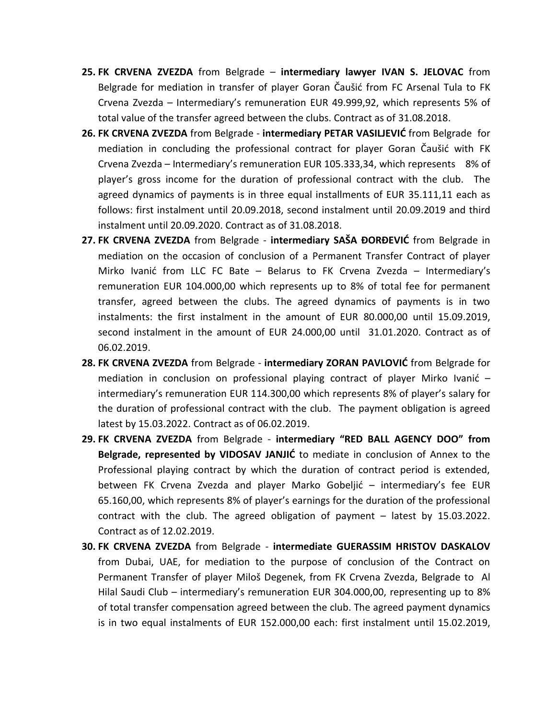- **25. FK CRVENA ZVEZDA** from Belgrade **intermediary lawyer IVAN S. JELOVAC** from Belgrade for mediation in transfer of player Goran Čaušić from FC Arsenal Tula to FK Crvena Zvezda – Intermediary's remuneration EUR 49.999,92, which represents 5% of total value of the transfer agreed between the clubs. Contract as of 31.08.2018.
- **26. FK CRVENA ZVEZDA** from Belgrade **intermediary PETAR VASILJEVIĆ** from Belgrade for mediation in concluding the professional contract for player Goran Čaušić with FK Crvena Zvezda – Intermediary's remuneration EUR 105.333,34, which represents 8% of player's gross income for the duration of professional contract with the club. The agreed dynamics of payments is in three equal installments of EUR 35.111,11 each as follows: first instalment until 20.09.2018, second instalment until 20.09.2019 and third instalment until 20.09.2020. Contract as of 31.08.2018.
- **27. FK CRVENA ZVEZDA** from Belgrade **intermediary SAŠA ĐORĐEVIĆ** from Belgrade in mediation on the occasion of conclusion of a Permanent Transfer Contract of player Mirko Ivanić from LLC FC Bate - Belarus to FK Crvena Zvezda - Intermediary's remuneration EUR 104.000,00 which represents up to 8% of total fee for permanent transfer, agreed between the clubs. The agreed dynamics of payments is in two instalments: the first instalment in the amount of EUR 80.000,00 until 15.09.2019, second instalment in the amount of EUR 24.000,00 until 31.01.2020. Contract as of 06.02.2019.
- **28. FK CRVENA ZVEZDA** from Belgrade intermediary ZORAN PAVLOVIĆ from Belgrade for mediation in conclusion on professional playing contract of player Mirko Ivanić  $$ intermediary's remuneration EUR 114.300,00 which represents 8% of player's salary for the duration of professional contract with the club. The payment obligation is agreed latest by 15.03.2022. Contract as of 06.02.2019.
- **29. FK CRVENA ZVEZDA** from Belgrade **intermediary "RED BALL AGENCY DOO" from Belgrade, represented by VIDOSAV JANJIC** to mediate in conclusion of Annex to the Professional playing contract by which the duration of contract period is extended, between FK Crvena Zvezda and player Marko Gobeljić – intermediary's fee EUR 65.160,00, which represents 8% of player's earnings for the duration of the professional contract with the club. The agreed obligation of payment – latest by 15.03.2022. Contract as of 12.02.2019.
- **30. FK CRVENA ZVEZDA** from Belgrade **intermediate GUERASSIM HRISTOV DASKALOV**  from Dubai, UAE, for mediation to the purpose of conclusion of the Contract on Permanent Transfer of player Miloš Degenek, from FK Crvena Zvezda, Belgrade to Al Hilal Saudi Club – intermediary's remuneration EUR 304.000,00, representing up to 8% of total transfer compensation agreed between the club. The agreed payment dynamics is in two equal instalments of EUR 152.000,00 each: first instalment until 15.02.2019,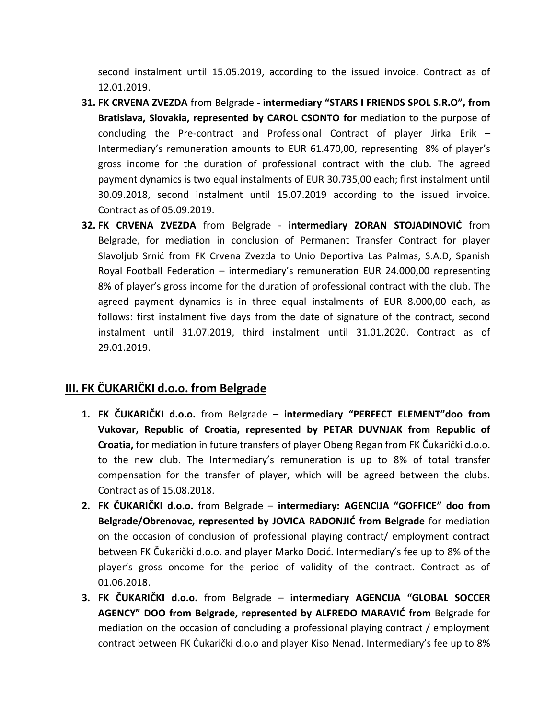second instalment until 15.05.2019, according to the issued invoice. Contract as of 12.01.2019.

- **31. FK CRVENA ZVEZDA** from Belgrade **intermediary "STARS I FRIENDS SPOL S.R.O", from Bratislava, Slovakia, represented by CAROL CSONTO for** mediation to the purpose of concluding the Pre-contract and Professional Contract of player Jirka Erik – Intermediary's remuneration amounts to EUR 61.470,00, representing 8% of player's gross income for the duration of professional contract with the club. The agreed payment dynamics is two equal instalments of EUR 30.735,00 each; first instalment until 30.09.2018, second instalment until 15.07.2019 according to the issued invoice. Contract as of 05.09.2019.
- **32. FK CRVENA ZVEZDA** from Belgrade **intermediary ZORAN STOJADINOVIĆ** from Belgrade, for mediation in conclusion of Permanent Transfer Contract for player Slavoljub Srnić from FK Crvena Zvezda to Unio Deportiva Las Palmas, S.A.D, Spanish Royal Football Federation – intermediary's remuneration EUR 24.000,00 representing 8% of player's gross income for the duration of professional contract with the club. The agreed payment dynamics is in three equal instalments of EUR 8.000,00 each, as follows: first instalment five days from the date of signature of the contract, second instalment until 31.07.2019, third instalment until 31.01.2020. Contract as of 29.01.2019.

#### **III. FK ČUKARIČKI d.o.o. from Belgrade**

- **1. FK ČUKARIČKI d.o.o.** from Belgrade **intermediary "PERFECT ELEMENT"doo from Vukovar, Republic of Croatia, represented by PETAR DUVNJAK from Republic of Croatia,** for mediation in future transfers of player Obeng Regan from FK Čukarički d.o.o. to the new club. The Intermediary's remuneration is up to 8% of total transfer compensation for the transfer of player, which will be agreed between the clubs. Contract as of 15.08.2018.
- **2. FK ČUKARIČKI d.o.o.** from Belgrade **intermediary: AGENCIJA "GOFFICE" doo from Belgrade/Obrenovac, represented by JOVICA RADONJIC from Belgrade** for mediation on the occasion of conclusion of professional playing contract/ employment contract between FK Čukarički d.o.o. and player Marko Docić. Intermediary's fee up to 8% of the player's gross oncome for the period of validity of the contract. Contract as of 01.06.2018.
- **3. FK ČUKARIČKI d.o.o.** from Belgrade **intermediary AGENCIJA "GLOBAL SOCCER AGENCY" DOO from Belgrade, represented by ALFREDO MARAVID from** Belgrade for mediation on the occasion of concluding a professional playing contract / employment contract between FK Čukarički d.o.o and player Kiso Nenad. Intermediary's fee up to 8%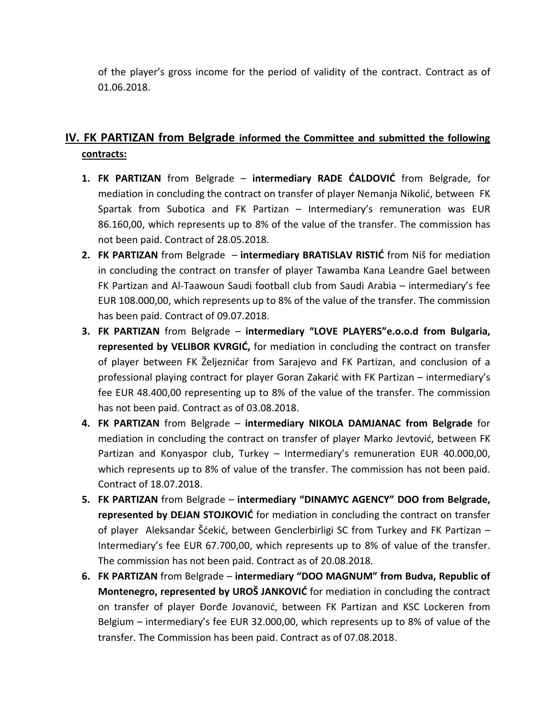of the player's gross income for the period of validity of the contract. Contract as of 01.06.2018.

## **IV. FK PARTIZAN from Belgrade informed the Committee and submitted the following contracts:**

- **1. FK PARTIZAN** from Belgrade **intermediary RADE CALDOVIC** from Belgrade, for mediation in concluding the contract on transfer of player Nemanja Nikolić, between FK Spartak from Subotica and FK Partizan – Intermediary's remuneration was EUR 86.160,00, which represents up to 8% of the value of the transfer. The commission has not been paid. Contract of 28.05.2018.
- **2. FK PARTIZAN** from Belgrade **intermediary BRATISLAV RISTIĆ** from Niš for mediation in concluding the contract on transfer of player Tawamba Kana Leandre Gael between FK Partizan and Al-Taawoun Saudi football club from Saudi Arabia – intermediary's fee EUR 108.000,00, which represents up to 8% of the value of the transfer. The commission has been paid. Contract of 09.07.2018.
- **3. FK PARTIZAN** from Belgrade **intermediary "LOVE PLAYERS"e.o.o.d from Bulgaria, represented by VELIBOR KVRGIĆ,** for mediation in concluding the contract on transfer of player between FK Željezničar from Sarajevo and FK Partizan, and conclusion of a professional playing contract for player Goran Zakarić with FK Partizan - intermediary's fee EUR 48.400,00 representing up to 8% of the value of the transfer. The commission has not been paid. Contract as of 03.08.2018.
- **4. FK PARTIZAN** from Belgrade **intermediary NIKOLA DAMJANAC from Belgrade** for mediation in concluding the contract on transfer of player Marko Jevtović, between FK Partizan and Konyaspor club, Turkey – Intermediary's remuneration EUR 40.000,00, which represents up to 8% of value of the transfer. The commission has not been paid. Contract of 18.07.2018.
- **5. FK PARTIZAN** from Belgrade **intermediary "DINAMYC AGENCY" DOO from Belgrade, represented by DEJAN STOJKOVIC** for mediation in concluding the contract on transfer of player Aleksandar Šćekić, between Genclerbirligi SC from Turkey and FK Partizan -Intermediary's fee EUR 67.700,00, which represents up to 8% of value of the transfer. The commission has not been paid. Contract as of 20.08.2018.
- **6. FK PARTIZAN** from Belgrade **intermediary "DOO MAGNUM" from Budva, Republic of Montenegro, represented by UROŠ JANKOVIĆ** for mediation in concluding the contract on transfer of player Đorđe Jovanović, between FK Partizan and KSC Lockeren from Belgium – intermediary's fee EUR 32.000,00, which represents up to 8% of value of the transfer. The Commission has been paid. Contract as of 07.08.2018.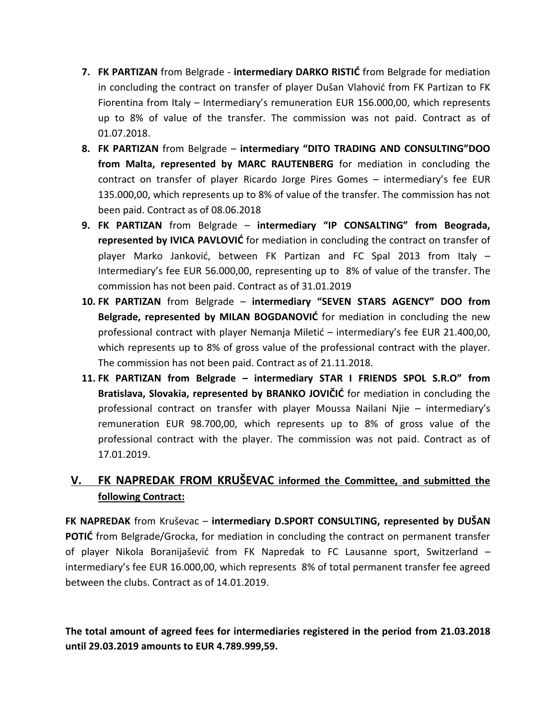- **7. FK PARTIZAN** from Belgrade **intermediary DARKO RISTIC** from Belgrade for mediation in concluding the contract on transfer of player Dušan Vlahović from FK Partizan to FK Fiorentina from Italy – Intermediary's remuneration EUR 156.000,00, which represents up to 8% of value of the transfer. The commission was not paid. Contract as of 01.07.2018.
- **8. FK PARTIZAN** from Belgrade **intermediary "DITO TRADING AND CONSULTING"DOO from Malta, represented by MARC RAUTENBERG** for mediation in concluding the contract on transfer of player Ricardo Jorge Pires Gomes – intermediary's fee EUR 135.000,00, which represents up to 8% of value of the transfer. The commission has not been paid. Contract as of 08.06.2018
- **9. FK PARTIZAN** from Belgrade **intermediary "IP CONSALTING" from Beograda, represented by IVICA PAVLOVIC** for mediation in concluding the contract on transfer of player Marko Jankovid, between FK Partizan and FC Spal 2013 from Italy – Intermediary's fee EUR 56.000,00, representing up to 8% of value of the transfer. The commission has not been paid. Contract as of 31.01.2019
- **10. FK PARTIZAN** from Belgrade **intermediary "SEVEN STARS AGENCY" DOO from Belgrade, represented by MILAN BOGDANOVIC** for mediation in concluding the new professional contract with player Nemanja Miletić – intermediary's fee EUR 21.400,00, which represents up to 8% of gross value of the professional contract with the player. The commission has not been paid. Contract as of 21.11.2018.
- **11. FK PARTIZAN from Belgrade – intermediary STAR I FRIENDS SPOL S.R.O" from Bratislava, Slovakia, represented by BRANKO JOVIČIĆ** for mediation in concluding the professional contract on transfer with player Moussa Nailani Njie – intermediary's remuneration EUR 98.700,00, which represents up to 8% of gross value of the professional contract with the player. The commission was not paid. Contract as of 17.01.2019.

## **V. FK NAPREDAK FROM KRUŠEVAC informed the Committee, and submitted the following Contract:**

**FK NAPREDAK** from Kruševac – **intermediary D.SPORT CONSULTING, represented by DUŠAN POTIC** from Belgrade/Grocka, for mediation in concluding the contract on permanent transfer of player Nikola Boranijaševid from FK Napredak to FC Lausanne sport, Switzerland – intermediary's fee EUR 16.000,00, which represents 8% of total permanent transfer fee agreed between the clubs. Contract as of 14.01.2019.

**The total amount of agreed fees for intermediaries registered in the period from 21.03.2018 until 29.03.2019 amounts to EUR 4.789.999,59.**